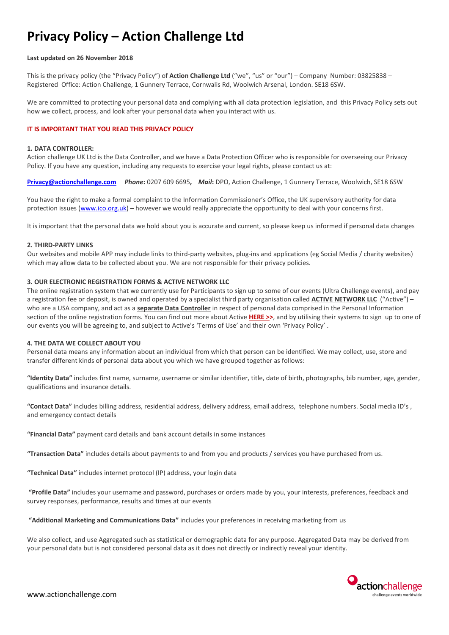# **Privacy Policy – Action Challenge Ltd**

#### **Last updated on 26 November 2018**

This is the privacy policy (the "Privacy Policy") of **Action Challenge Ltd** ("we", "us" or "our") – Company Number: 03825838 – Registered Office: Action Challenge, 1 Gunnery Terrace, Cornwalis Rd, Woolwich Arsenal, London. SE18 6SW.

We are committed to protecting your personal data and complying with all data protection legislation, and this Privacy Policy sets out how we collect, process, and look after your personal data when you interact with us.

## **IT IS IMPORTANT THAT YOU READ THIS PRIVACY POLICY**

#### **1. DATA CONTROLLER:**

Action challenge UK Ltd is the Data Controller, and we have a Data Protection Officer who is responsible for overseeing our Privacy Policy. If you have any question, including any requests to exercise your legal rights, please contact us at:

**[Privacy@actionchallenge.com](mailto:Privacy@actionchallenge.com)** *Phone***:** 0207 609 6695**,** *Mail***:** DPO, Action Challenge, 1 Gunnery Terrace, Woolwich, SE18 6SW

You have the right to make a formal complaint to the Information Commissioner's Office, the UK supervisory authority for data protection issues [\(www.ico.org.uk\)](https://www.ico.org.uk/) – however we would really appreciate the opportunity to deal with your concerns first.

It is important that the personal data we hold about you is accurate and current, so please keep us informed if personal data changes

#### **2. THIRD-PARTY LINKS**

Our websites and mobile APP may include links to third-party websites, plug-ins and applications (eg Social Media / charity websites) which may allow data to be collected about you. We are not responsible for their privacy policies.

#### **3. OUR ELECTRONIC REGISTRATION FORMS & ACTIVE NETWORK LLC**

The online registration system that we currently use for Participants to sign up to some of our events (Ultra Challenge events), and pay a registration fee or deposit, is owned and operated by a specialist third party organisation called **ACTIVE NETWORK LLC** ("Active") – who are a USA company, and act as a **separate Data Controller** in respect of personal data comprised in the Personal Information section of the online registration forms. You can find out more about Active **[HERE >>](http://www.activenetwork.com/)**, and by utilising their systems to sign up to one of our events you will be agreeing to, and subject to Active's 'Terms of Use' and their own 'Privacy Policy' .

# **4. THE DATA WE COLLECT ABOUT YOU**

Personal data means any information about an individual from which that person can be identified. We may collect, use, store and transfer different kinds of personal data about you which we have grouped together as follows:

**"Identity Data"** includes first name, surname, username or similar identifier, title, date of birth, photographs, bib number, age, gender, qualifications and insurance details.

**"Contact Data"** includes billing address, residential address, delivery address, email address, telephone numbers. Social media ID's , and emergency contact details

**"Financial Data"** payment card details and bank account details in some instances

**"Transaction Data"** includes details about payments to and from you and products / services you have purchased from us.

**"Technical Data"** includes internet protocol (IP) address, your login data

**"Profile Data"** includes your username and password, purchases or orders made by you, your interests, preferences, feedback and survey responses, performance, results and times at our events

**"Additional Marketing and Communications Data"** includes your preferences in receiving marketing from us

We also collect, and use Aggregated such as statistical or demographic data for any purpose. Aggregated Data may be derived from your personal data but is not considered personal data as it does not directly or indirectly reveal your identity.

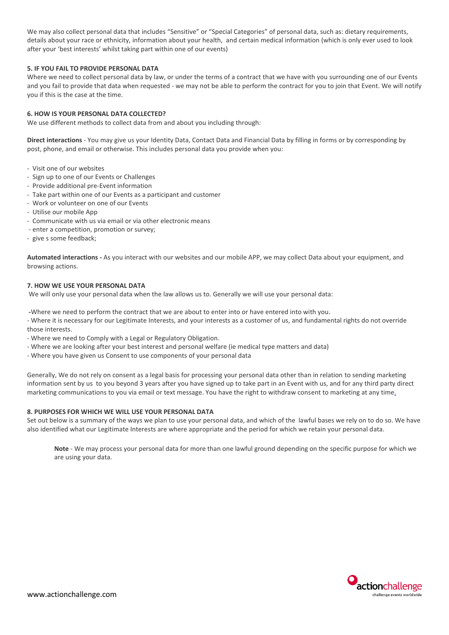We may also collect personal data that includes "Sensitive" or "Special Categories" of personal data, such as: dietary requirements, details about your race or ethnicity, information about your health, and certain medical information (which is only ever used to look after your 'best interests' whilst taking part within one of our events)

## **5. IF YOU FAIL TO PROVIDE PERSONAL DATA**

Where we need to collect personal data by law, or under the terms of a contract that we have with you surrounding one of our Events and you fail to provide that data when requested - we may not be able to perform the contract for you to join that Event. We will notify you if this is the case at the time.

## **6. HOW IS YOUR PERSONAL DATA COLLECTED?**

We use different methods to collect data from and about you including through:

**Direct interactions** - You may give us your Identity Data, Contact Data and Financial Data by filling in forms or by corresponding by post, phone, and email or otherwise. This includes personal data you provide when you:

- Visit one of our websites
- Sign up to one of our Events or Challenges
- Provide additional pre-Event information
- Take part within one of our Events as a participant and customer
- Work or volunteer on one of our Events
- Utilise our mobile App
- Communicate with us via email or via other electronic means
- enter a competition, promotion or survey;
- give s some feedback;

**Automated interactions -** As you interact with our websites and our mobile APP, we may collect Data about your equipment, and browsing actions.

### **7. HOW WE USE YOUR PERSONAL DATA**

We will only use your personal data when the law allows us to. Generally we will use your personal data:

**-**Where we need to perform the contract that we are about to enter into or have entered into with you.

- Where it is necessary for our Legitimate Interests, and your interests as a customer of us, and fundamental rights do not override those interests.

- Where we need to Comply with a Legal or Regulatory Obligation.
- Where we are looking after your best interest and personal welfare (ie medical type matters and data)
- Where you have given us Consent to use components of your personal data

Generally, We do not rely on consent as a legal basis for processing your personal data other than in relation to sending marketing information sent by us to you beyond 3 years after you have signed up to take part in an Event with us, and for any third party direct marketing communications to you via email or text message. You have the right to withdraw consent to marketing at any time.

### **8. PURPOSES FOR WHICH WE WILL USE YOUR PERSONAL DATA**

Set out below is a summary of the ways we plan to use your personal data, and which of the lawful bases we rely on to do so. We have also identified what our Legitimate Interests are where appropriate and the period for which we retain your personal data.

**Note** - We may process your personal data for more than one lawful ground depending on the specific purpose for which we are using your data.

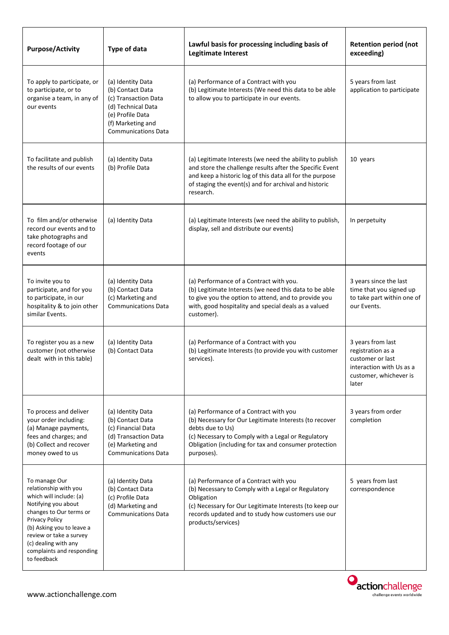| <b>Purpose/Activity</b>                                                                                                                                                                                                                                           | <b>Type of data</b>                                                                                                                                        | Lawful basis for processing including basis of<br><b>Legitimate Interest</b>                                                                                                                                                                           | <b>Retention period (not</b><br>exceeding)                                                                                |
|-------------------------------------------------------------------------------------------------------------------------------------------------------------------------------------------------------------------------------------------------------------------|------------------------------------------------------------------------------------------------------------------------------------------------------------|--------------------------------------------------------------------------------------------------------------------------------------------------------------------------------------------------------------------------------------------------------|---------------------------------------------------------------------------------------------------------------------------|
| To apply to participate, or<br>to participate, or to<br>organise a team, in any of<br>our events                                                                                                                                                                  | (a) Identity Data<br>(b) Contact Data<br>(c) Transaction Data<br>(d) Technical Data<br>(e) Profile Data<br>(f) Marketing and<br><b>Communications Data</b> | (a) Performance of a Contract with you<br>(b) Legitimate Interests (We need this data to be able<br>to allow you to participate in our events.                                                                                                         | 5 years from last<br>application to participate                                                                           |
| To facilitate and publish<br>the results of our events                                                                                                                                                                                                            | (a) Identity Data<br>(b) Profile Data                                                                                                                      | (a) Legitimate Interests (we need the ability to publish<br>and store the challenge results after the Specific Event<br>and keep a historic log of this data all for the purpose<br>of staging the event(s) and for archival and historic<br>research. | 10 years                                                                                                                  |
| To film and/or otherwise<br>record our events and to<br>take photographs and<br>record footage of our<br>events                                                                                                                                                   | (a) Identity Data                                                                                                                                          | (a) Legitimate Interests (we need the ability to publish,<br>display, sell and distribute our events)                                                                                                                                                  | In perpetuity                                                                                                             |
| To invite you to<br>participate, and for you<br>to participate, in our<br>hospitality & to join other<br>similar Events.                                                                                                                                          | (a) Identity Data<br>(b) Contact Data<br>(c) Marketing and<br><b>Communications Data</b>                                                                   | (a) Performance of a Contract with you.<br>(b) Legitimate Interests (we need this data to be able<br>to give you the option to attend, and to provide you<br>with, good hospitality and special deals as a valued<br>customer).                        | 3 years since the last<br>time that you signed up<br>to take part within one of<br>our Events.                            |
| To register you as a new<br>customer (not otherwise<br>dealt with in this table)                                                                                                                                                                                  | (a) Identity Data<br>(b) Contact Data                                                                                                                      | (a) Performance of a Contract with you<br>(b) Legitimate Interests (to provide you with customer<br>services).                                                                                                                                         | 3 years from last<br>registration as a<br>customer or last<br>interaction with Us as a<br>customer, whichever is<br>later |
| To process and deliver<br>your order including:<br>(a) Manage payments,<br>fees and charges; and<br>(b) Collect and recover<br>money owed to us                                                                                                                   | (a) Identity Data<br>(b) Contact Data<br>(c) Financial Data<br>(d) Transaction Data<br>(e) Marketing and<br><b>Communications Data</b>                     | (a) Performance of a Contract with you<br>(b) Necessary for Our Legitimate Interests (to recover<br>debts due to Us)<br>(c) Necessary to Comply with a Legal or Regulatory<br>Obligation (including for tax and consumer protection<br>purposes).      | 3 years from order<br>completion                                                                                          |
| To manage Our<br>relationship with you<br>which will include: (a)<br>Notifying you about<br>changes to Our terms or<br>Privacy Policy<br>(b) Asking you to leave a<br>review or take a survey<br>(c) dealing with any<br>complaints and responding<br>to feedback | (a) Identity Data<br>(b) Contact Data<br>(c) Profile Data<br>(d) Marketing and<br><b>Communications Data</b>                                               | (a) Performance of a Contract with you<br>(b) Necessary to Comply with a Legal or Regulatory<br>Obligation<br>(c) Necessary for Our Legitimate Interests (to keep our<br>records updated and to study how customers use our<br>products/services)      | 5 years from last<br>correspondence                                                                                       |

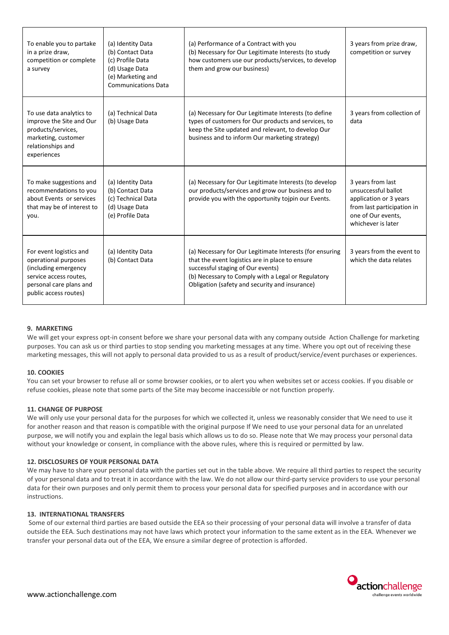| To enable you to partake<br>in a prize draw,<br>competition or complete<br>a survey                                                                   | (a) Identity Data<br>(b) Contact Data<br>(c) Profile Data<br>(d) Usage Data<br>(e) Marketing and<br><b>Communications Data</b> | (a) Performance of a Contract with you<br>(b) Necessary for Our Legitimate Interests (to study<br>how customers use our products/services, to develop<br>them and grow our business)                                                                     | 3 years from prize draw,<br>competition or survey                                                                                            |
|-------------------------------------------------------------------------------------------------------------------------------------------------------|--------------------------------------------------------------------------------------------------------------------------------|----------------------------------------------------------------------------------------------------------------------------------------------------------------------------------------------------------------------------------------------------------|----------------------------------------------------------------------------------------------------------------------------------------------|
| To use data analytics to<br>improve the Site and Our<br>products/services,<br>marketing, customer<br>relationships and<br>experiences                 | (a) Technical Data<br>(b) Usage Data                                                                                           | (a) Necessary for Our Legitimate Interests (to define<br>types of customers for Our products and services, to<br>keep the Site updated and relevant, to develop Our<br>business and to inform Our marketing strategy)                                    | 3 years from collection of<br>data                                                                                                           |
| To make suggestions and<br>recommendations to you<br>about Events or services<br>that may be of interest to<br>you.                                   | (a) Identity Data<br>(b) Contact Data<br>(c) Technical Data<br>(d) Usage Data<br>(e) Profile Data                              | (a) Necessary for Our Legitimate Interests (to develop<br>our products/services and grow our business and to<br>provide you with the opportunity tojpin our Events.                                                                                      | 3 years from last<br>unsuccessful ballot<br>application or 3 years<br>from last participation in<br>one of Our events,<br>whichever is later |
| For event logistics and<br>operational purposes<br>(including emergency<br>service access routes,<br>personal care plans and<br>public access routes) | (a) Identity Data<br>(b) Contact Data                                                                                          | (a) Necessary for Our Legitimate Interests (for ensuring<br>that the event logistics are in place to ensure<br>successful staging of Our events)<br>(b) Necessary to Comply with a Legal or Regulatory<br>Obligation (safety and security and insurance) | 3 years from the event to<br>which the data relates                                                                                          |

## **9. MARKETING**

We will get your express opt-in consent before we share your personal data with any company outside Action Challenge for marketing purposes. You can ask us or third parties to stop sending you marketing messages at any time. Where you opt out of receiving these marketing messages, this will not apply to personal data provided to us as a result of product/service/event purchases or experiences.

### **10. COOKIES**

You can set your browser to refuse all or some browser cookies, or to alert you when websites set or access cookies. If you disable or refuse cookies, please note that some parts of the Site may become inaccessible or not function properly.

## **11. CHANGE OF PURPOSE**

We will only use your personal data for the purposes for which we collected it, unless we reasonably consider that We need to use it for another reason and that reason is compatible with the original purpose If We need to use your personal data for an unrelated purpose, we will notify you and explain the legal basis which allows us to do so. Please note that We may process your personal data without your knowledge or consent, in compliance with the above rules, where this is required or permitted by law.

### **12. DISCLOSURES OF YOUR PERSONAL DATA**

We may have to share your personal data with the parties set out in the table above. We require all third parties to respect the security of your personal data and to treat it in accordance with the law. We do not allow our third-party service providers to use your personal data for their own purposes and only permit them to process your personal data for specified purposes and in accordance with our instructions.

### **13. INTERNATIONAL TRANSFERS**

Some of our external third parties are based outside the EEA so their processing of your personal data will involve a transfer of data outside the EEA. Such destinations may not have laws which protect your information to the same extent as in the EEA. Whenever we transfer your personal data out of the EEA, We ensure a similar degree of protection is afforded.